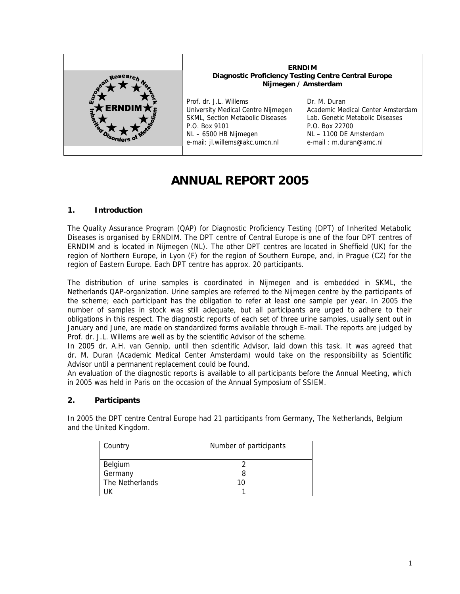

**ERNDIM Diagnostic Proficiency Testing Centre Central Europe Nijmegen / Amsterdam** Prof. dr. J.L. Willems Dr. M. Duran

University Medical Centre Nijmegen SKML, Section Metabolic Diseases P.O. Box 9101 NL – 6500 HB Nijmegen e-mail: jl.willems@akc.umcn.nl

Academic Medical Center Amsterdam Lab. Genetic Metabolic Diseases P.O. Box 22700 NL – 1100 DE Amsterdam e-mail : m.duran@amc.nl

# **ANNUAL REPORT 2005**

# **1. Introduction**

The Quality Assurance Program (QAP) for Diagnostic Proficiency Testing (DPT) of Inherited Metabolic Diseases is organised by ERNDIM. The DPT centre of Central Europe is one of the four DPT centres of ERNDIM and is located in Nijmegen (NL). The other DPT centres are located in Sheffield (UK) for the region of Northern Europe, in Lyon (F) for the region of Southern Europe, and, in Prague (CZ) for the region of Eastern Europe. Each DPT centre has approx. 20 participants.

The distribution of urine samples is coordinated in Nijmegen and is embedded in SKML, the Netherlands QAP-organization. Urine samples are referred to the Nijmegen centre by the participants of the scheme; each participant has the obligation to refer at least one sample per year. In 2005 the number of samples in stock was still adequate, but all participants are urged to adhere to their obligations in this respect. The diagnostic reports of each set of three urine samples, usually sent out in January and June, are made on standardized forms available through E-mail. The reports are judged by Prof. dr. J.L. Willems are well as by the scientific Advisor of the scheme.

In 2005 dr. A.H. van Gennip, until then scientific Advisor, laid down this task. It was agreed that dr. M. Duran (Academic Medical Center Amsterdam) would take on the responsibility as Scientific Advisor until a permanent replacement could be found.

An evaluation of the diagnostic reports is available to all participants before the Annual Meeting, which in 2005 was held in Paris on the occasion of the Annual Symposium of SSIEM.

# **2. Participants**

In 2005 the DPT centre Central Europe had 21 participants from Germany, The Netherlands, Belgium and the United Kingdom.

| Country         | Number of participants |
|-----------------|------------------------|
|                 |                        |
| Belgium         |                        |
| Germany         |                        |
| The Netherlands | 10                     |
|                 |                        |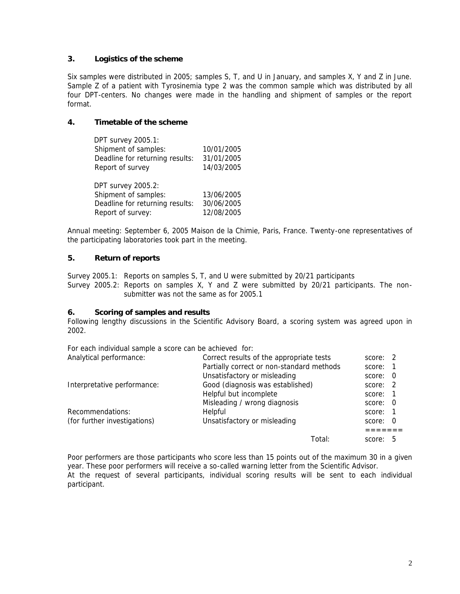## **3. Logistics of the scheme**

Six samples were distributed in 2005; samples S, T, and U in January, and samples X, Y and Z in June. Sample Z of a patient with Tyrosinemia type 2 was the common sample which was distributed by all four DPT-centers. No changes were made in the handling and shipment of samples or the report format.

**4. Timetable of the scheme**

| DPT survey 2005.1:              |            |
|---------------------------------|------------|
| Shipment of samples:            | 10/01/2005 |
| Deadline for returning results: | 31/01/2005 |
| Report of survey                | 14/03/2005 |
|                                 |            |
| <b>DPT survey 2005.2:</b>       |            |

| DPT SUIVEY 2005.2:              |            |
|---------------------------------|------------|
| Shipment of samples:            | 13/06/2005 |
| Deadline for returning results: | 30/06/2005 |
| Report of survey:               | 12/08/2005 |

Annual meeting: September 6, 2005 Maison de la Chimie, Paris, France. Twenty-one representatives of the participating laboratories took part in the meeting.

#### **5. Return of reports**

Survey 2005.1: Reports on samples S, T, and U were submitted by 20/21 participants Survey 2005.2: Reports on samples X, Y and Z were submitted by 20/21 participants. The non submitter was not the same as for 2005.1

**6. Scoring of samples and results**

Following lengthy discussions in the Scientific Advisory Board, a scoring system was agreed upon in 2002.

For each individual sample a score can be achieved for:

| Analytical performance:      | Correct results of the appropriate tests  |        | score: 2 |             |
|------------------------------|-------------------------------------------|--------|----------|-------------|
|                              | Partially correct or non-standard methods |        | score:   |             |
|                              | Unsatisfactory or misleading              |        | score: 0 |             |
| Interpretative performance:  | Good (diagnosis was established)          |        | score: 2 |             |
|                              | Helpful but incomplete                    |        | score:   |             |
|                              | Misleading / wrong diagnosis              |        | score: 0 |             |
| Recommendations:             | Helpful                                   |        | score: 1 |             |
| (for further investigations) | Unsatisfactory or misleading              |        | score: 0 |             |
|                              |                                           |        |          |             |
|                              |                                           | Total: | score:   | $\mathbf b$ |

Poor performers are those participants who score less than 15 points out of the maximum 30 in a given year. These poor performers will receive a so-called warning letter from the Scientific Advisor. At the request of several participants, individual scoring results will be sent to each individual participant.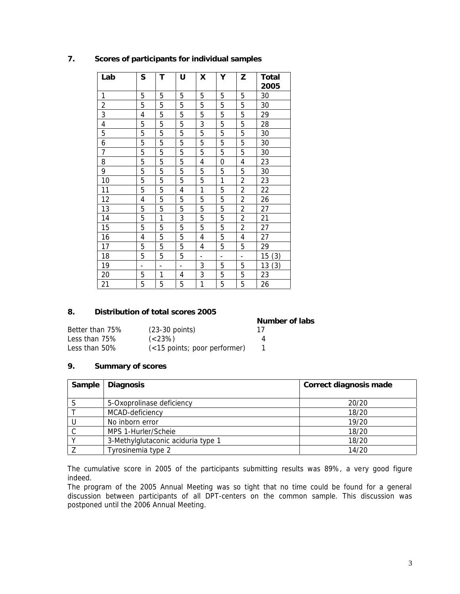| Lab            | S                        | Τ              | U                        | X                        | Υ                        | Ζ                        | Total<br>2005 |
|----------------|--------------------------|----------------|--------------------------|--------------------------|--------------------------|--------------------------|---------------|
| 1              | 5                        | 5              | 5                        | 5                        | 5                        | 5                        | 30            |
| $\overline{2}$ | 5                        | 5              | 5                        | 5                        | 5                        | 5                        | 30            |
| 3              | 4                        | 5              | 5                        | 5                        | 5                        | 5                        | 29            |
| 4              | 5                        | 5              | 5                        | 3                        | $\mathbf 5$              | 5                        | 28            |
| 5              | 5                        | 5              | 5                        | 5                        | 5                        | 5                        | 30            |
| 6              | 5                        | 5              | 5                        | 5                        | 5                        | 5                        | 30            |
| $\overline{7}$ | 5                        | 5              | 5                        | 5                        | 5                        | 5                        | 30            |
| 8              | 5                        | 5              | 5                        | 4                        | 0                        | 4                        | 23            |
| 9              | 5                        | 5              | 5                        | 5                        | 5                        | 5                        | 30            |
| 10             | 5                        | 5              | 5                        | 5                        | $\mathbf{1}$             | $\overline{2}$           | 23            |
| 11             | 5                        | 5              | 4                        | 1                        | 5                        | $\overline{2}$           | 22            |
| 12             | 4                        | 5              | 5                        | 5                        | 5                        | $\overline{2}$           | 26            |
| 13             | 5                        | 5              | 5                        | 5                        | 5                        | $\overline{2}$           | 27            |
| 14             | 5                        | 1              | 3                        | $\mathbf 5$              | 5                        | $\overline{c}$           | 21            |
| 15             | 5                        | 5              | 5                        | 5                        | 5                        | $\overline{2}$           | 27            |
| 16             | 4                        | 5              | 5                        | 4                        | 5                        | $\overline{4}$           | 27            |
| 17             | 5                        | 5              | 5                        | 4                        | 5                        | 5                        | 29            |
| 18             | 5                        | 5              | 5                        | $\overline{\phantom{a}}$ | $\overline{\phantom{a}}$ | $\overline{\phantom{a}}$ | 15<br>(3)     |
| 19             | $\overline{\phantom{0}}$ | $\overline{a}$ | $\overline{\phantom{a}}$ | 3                        | 5                        | 5                        | 13<br>(3)     |
| 20             | 5                        | 1              | 4                        | 3                        | 5                        | 5                        | 23            |
| 21             | 5                        | 5              | 5                        | 1                        | 5                        | 5                        | 26            |

## **7. Scores of participants for individual samples**

#### **8. Distribution of total scores 2005**

| .                | <u>DRI INGILIYIT UL IYIKIL JUVILUZ EVV</u> |                |
|------------------|--------------------------------------------|----------------|
|                  |                                            | Number of labs |
| Better than 75%  | $(23-30$ points)                           | 17             |
| Less than $75\%$ | $(<\frac{23}{6}$ )                         |                |
| Less than 50%    | (<15 points; poor performer)               |                |
|                  |                                            |                |

### **9. Summary of scores**

| Sample | Diagnosis                          | Correct diagnosis made |
|--------|------------------------------------|------------------------|
|        |                                    |                        |
|        | 5-Oxoprolinase deficiency          | 20/20                  |
|        | MCAD-deficiency                    | 18/20                  |
|        | No inborn error                    | 19/20                  |
|        | MPS 1-Hurler/Scheie                | 18/20                  |
|        | 3-Methylglutaconic aciduria type 1 | 18/20                  |
|        | Tyrosinemia type 2                 | 14/20                  |

The cumulative score in 2005 of the participants submitting results was 89%, a very good figure indeed.

The program of the 2005 Annual Meeting was so tight that no time could be found for a general discussion between participants of all DPT-centers on the common sample. This discussion was postponed until the 2006 Annual Meeting.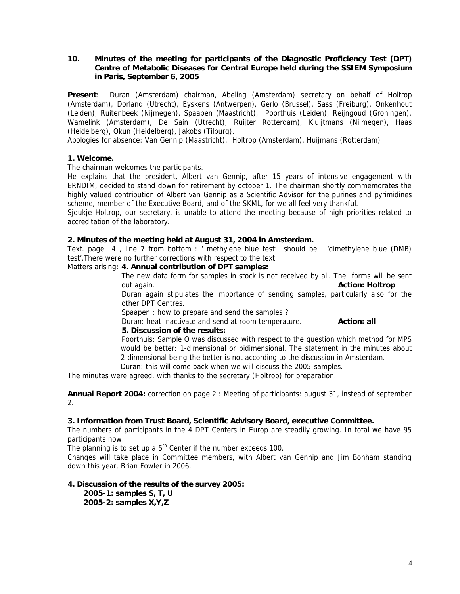**10. Minutes of the meeting for participants of the Diagnostic Proficiency Test (DPT) Centre of Metabolic Diseases for Central Europe held during the SSIEM Symposium in Paris, September 6, 2005**

**Present**: Duran (Amsterdam) chairman, Abeling (Amsterdam) secretary on behalf of Holtrop (Amsterdam), Dorland (Utrecht), Eyskens (Antwerpen), Gerlo (Brussel), Sass (Freiburg), Onkenhout (Leiden), Ruitenbeek (Nijmegen), Spaapen (Maastricht), Poorthuis (Leiden), Reijngoud (Groningen), Wamelink (Amsterdam), De Sain (Utrecht), Ruijter Rotterdam), Kluijtmans (Nijmegen), Haas (Heidelberg), Okun (Heidelberg), Jakobs (Tilburg).

Apologies for absence: Van Gennip (Maastricht), Holtrop (Amsterdam), Huijmans (Rotterdam)

**1. Welcome.**

The chairman welcomes the participants.

He explains that the president, Albert van Gennip, after 15 years of intensive engagement with ERNDIM, decided to stand down for retirement by october 1. The chairman shortly commemorates the highly valued contribution of Albert van Gennip as a Scientific Advisor for the purines and pyrimidines scheme, member of the Executive Board, and of the SKML, for we all feel very thankful.

Sjoukje Holtrop, our secretary, is unable to attend the meeting because of high priorities related to accreditation of the laboratory.

**2. Minutes of the meeting held at August 31, 2004 in Amsterdam.**

Text. page 4 , line 7 from bottom : ' methylene blue test' should be : 'dimethylene blue (DMB) test'.There were no further corrections with respect to the text.

Matters arising: **4. Annual contribution of DPT samples:**

The new data form for samples in stock is not received by all. The forms will be sent out again. **Action: Holtrop**

Duran again stipulates the importance of sending samples, particularly also for the other DPT Centres.

Spaapen : how to prepare and send the samples ?

Duran: heat-inactivate and send at room temperature. **Action: all 5. Discussion of the results:**

Poorthuis: Sample O was discussed with respect to the question which method for MPS would be better: 1-dimensional or bidimensional. The statement in the minutes about 2-dimensional being the better is not according to the discussion in Amsterdam.

Duran: this will come back when we will discuss the 2005-samples.

The minutes were agreed, with thanks to the secretary (Holtrop) for preparation.

**Annual Report 2004:** correction on page 2 : Meeting of participants: august 31, instead of september 2.

**3. Information from Trust Board, Scientific Advisory Board, executive Committee.**

The numbers of participants in the 4 DPT Centers in Europ are steadily growing. In total we have 95 participants now.

The planning is to set up a  $5<sup>th</sup>$  Center if the number exceeds 100.

Changes will take place in Committee members, with Albert van Gennip and Jim Bonham standing down this year, Brian Fowler in 2006.

**4. Discussion of the results of the survey 2005:**

**2005-1: samples S, T, U 2005-2: samples X,Y,Z**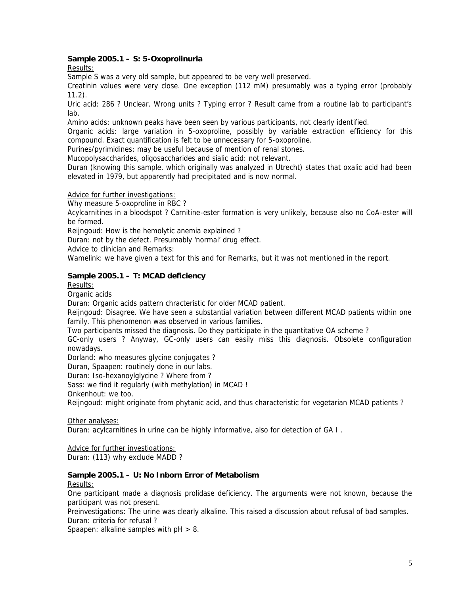**Sample 2005.1 – S: 5-Oxoprolinuria**

*Results:*

Sample S was a very old sample, but appeared to be very well preserved.

Creatinin values were very close. One exception (112 mM) presumably was a typing error (probably 11.2).

Uric acid: 286 ? Unclear. Wrong units ? Typing error ? Result came from a routine lab to participant's lab.

Amino acids: unknown peaks have been seen by various participants, not clearly identified.

Organic acids: large variation in 5-oxoproline, possibly by variable extraction efficiency for this compound. Exact quantification is felt to be unnecessary for 5-oxoproline.

Purines/pyrimidines: may be useful because of mention of renal stones.

Mucopolysaccharides, oligosaccharides and sialic acid: not relevant.

Duran (knowing this sample, which originally was analyzed in Utrecht) states that oxalic acid had been elevated in 1979, but apparently had precipitated and is now normal.

*Advice for further investigations*:

Why measure 5-oxoproline in RBC ?

Acylcarnitines in a bloodspot ? Carnitine-ester formation is very unlikely, because also no CoA-ester will be formed.

Reijngoud: How is the hemolytic anemia explained ?

Duran: not by the defect. Presumably 'normal' drug effect.

*Advice to clinician and Remarks:*

Wamelink: we have given a text for this and for *Remarks*, but it was not mentioned in the report.

**Sample 2005.1 – T: MCAD deficiency**

*Results:*

*Organic acids*

Duran: Organic acids pattern chracteristic for older MCAD patient.

Reijngoud: Disagree. We have seen a substantial variation between different MCAD patients within one family. This phenomenon was observed in various families.

Two participants missed the diagnosis. Do they participate in the quantitative OA scheme ?

GC-only users ? Anyway, GC-only users can easily miss this diagnosis. Obsolete configuration nowadays.

Dorland: who measures glycine conjugates ?

Duran, Spaapen: routinely done in our labs.

Duran: Iso-hexanoylglycine ? Where from ?

Sass: we find it regularly (with methylation) in MCAD !

Onkenhout: we too.

Reijngoud: might originate from phytanic acid, and thus characteristic for vegetarian MCAD patients ?

*Other analyses:*

Duran: acylcarnitines in urine can be highly informative, also for detection of GA I .

*Advice for further investigations:* Duran: (113) why exclude MADD ?

**Sample 2005.1 – U: No Inborn Error of Metabolism**

*Results:*

One participant made a diagnosis prolidase deficiency. The arguments were not known, because the participant was not present.

Preinvestigations: The urine was clearly alkaline. This raised a discussion about refusal of bad samples. Duran: criteria for refusal ?

Spaapen: alkaline samples with  $pH > 8$ .